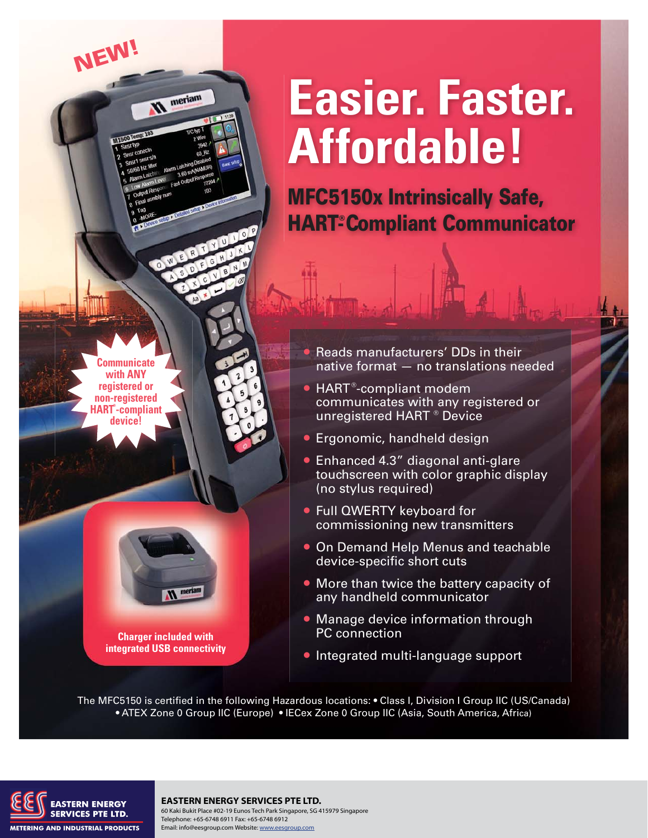## **Easier. Faster. Affordable!**

**MFC5150x Intrinsically Safe, HART<sup>®</sup> Compliant Communicator** 

• Reads manufacturers' DDs in their native format — no translations needed

- $\bullet$  HART®-compliant modem communicates with any registered or  $-$  unregistered HART  $^\circ$  Device
- Ergonomic, handheld design
- Enhanced 4.3" diagonal anti-glare touchscreen with color graphic display (no stylus required)
- Full QWERTY keyboard for commissioning new transmitters
- On Demand Help Menus and teachable device-specific short cuts
- More than twice the battery capacity of any handheld communicator
- Manage device information through PC connection
- Integrated multi-language support

The MFC5150 is certified in the following Hazardous locations: • Class I, Division I Group IIC (US/Canada) • ATEX Zone 0 Group IIC (Europe) • IECex Zone 0 Group IIC (Asia, South America, Africa)



**Communicate with ANY registered or non-registered HART® -compliant device!**

**NEW!**

meriam

**Charger included with integrated USB connectivity**

## **EASTERN ENERGY SERVICES PTE LTD.** 60 Kaki Bukit Place #02-19 Eunos Tech Park Singapore, SG 415979 Singapore

Telephone: +65-6748 6911 Fax: +65-6748 6912 Email: info@eesgroup.com Website: www.eesgroup.com